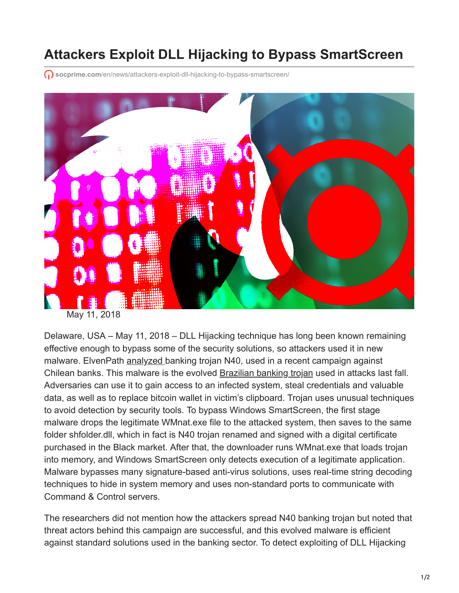## **Attackers Exploit DLL Hijacking to Bypass SmartScreen**

 $\bigcap$  **socprime.com[/en/news/attackers-exploit-dll-hijacking-to-bypass-smartscreen/](https://socprime.com/en/news/attackers-exploit-dll-hijacking-to-bypass-smartscreen/)** 



May 11, 2018

Delaware, USA – May 11, 2018 – DLL Hijacking technique has long been known remaining effective enough to bypass some of the security solutions, so attackers used it in new malware. ElvenPath [analyzed](http://blog.en.elevenpaths.com/2018/05/new-report-malware-attacks-chilean.html) banking trojan N40, used in a recent campaign against Chilean banks. This malware is the evolved [Brazilian banking trojan](https://blog.talosintelligence.com/2017/09/brazilbanking.html) used in attacks last fall. Adversaries can use it to gain access to an infected system, steal credentials and valuable data, as well as to replace bitcoin wallet in victim's clipboard. Trojan uses unusual techniques to avoid detection by security tools. To bypass Windows SmartScreen, the first stage malware drops the legitimate WMnat.exe file to the attacked system, then saves to the same folder shfolder.dll, which in fact is N40 trojan renamed and signed with a digital certificate purchased in the Black market. After that, the downloader runs WMnat.exe that loads trojan into memory, and Windows SmartScreen only detects execution of a legitimate application. Malware bypasses many signature-based anti-virus solutions, uses real-time string decoding techniques to hide in system memory and uses non-standard ports to communicate with Command & Control servers.

The researchers did not mention how the attackers spread N40 banking trojan but noted that threat actors behind this campaign are successful, and this evolved malware is efficient against standard solutions used in the banking sector. To detect exploiting of DLL Hijacking